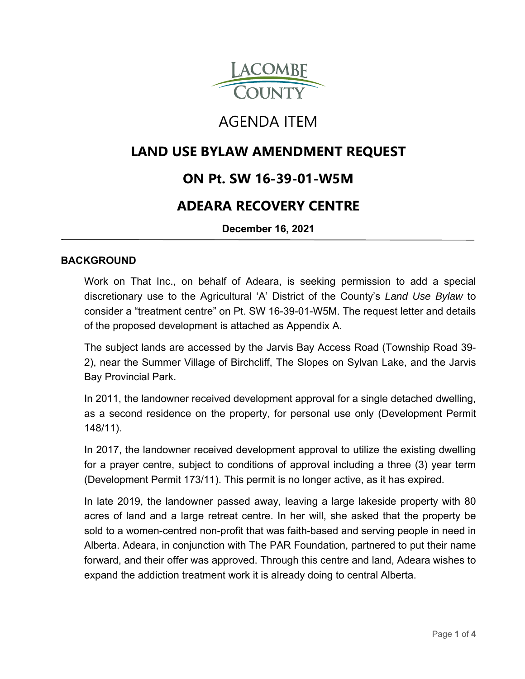

# AGENDA ITEM

# **LAND USE BYLAW AMENDMENT REQUEST**

# **ON Pt. SW 16-39-01-W5M**

# **ADEARA RECOVERY CENTRE**

**December 16, 2021**

#### **BACKGROUND**

Work on That Inc., on behalf of Adeara, is seeking permission to add a special discretionary use to the Agricultural 'A' District of the County's *Land Use Bylaw* to consider a "treatment centre" on Pt. SW 16-39-01-W5M. The request letter and details of the proposed development is attached as Appendix A.

The subject lands are accessed by the Jarvis Bay Access Road (Township Road 39- 2), near the Summer Village of Birchcliff, The Slopes on Sylvan Lake, and the Jarvis Bay Provincial Park.

In 2011, the landowner received development approval for a single detached dwelling, as a second residence on the property, for personal use only (Development Permit 148/11).

In 2017, the landowner received development approval to utilize the existing dwelling for a prayer centre, subject to conditions of approval including a three (3) year term (Development Permit 173/11). This permit is no longer active, as it has expired.

In late 2019, the landowner passed away, leaving a large lakeside property with 80 acres of land and a large retreat centre. In her will, she asked that the property be sold to a women-centred non-profit that was faith-based and serving people in need in Alberta. Adeara, in conjunction with The PAR Foundation, partnered to put their name forward, and their offer was approved. Through this centre and land, Adeara wishes to expand the addiction treatment work it is already doing to central Alberta.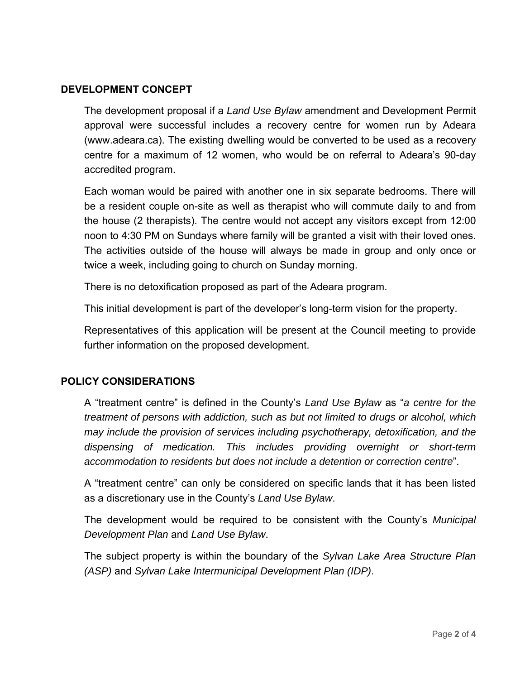### **DEVELOPMENT CONCEPT**

The development proposal if a *Land Use Bylaw* amendment and Development Permit approval were successful includes a recovery centre for women run by Adeara (www.adeara.ca). The existing dwelling would be converted to be used as a recovery centre for a maximum of 12 women, who would be on referral to Adeara's 90-day accredited program.

Each woman would be paired with another one in six separate bedrooms. There will be a resident couple on-site as well as therapist who will commute daily to and from the house (2 therapists). The centre would not accept any visitors except from 12:00 noon to 4:30 PM on Sundays where family will be granted a visit with their loved ones. The activities outside of the house will always be made in group and only once or twice a week, including going to church on Sunday morning.

There is no detoxification proposed as part of the Adeara program.

This initial development is part of the developer's long-term vision for the property.

Representatives of this application will be present at the Council meeting to provide further information on the proposed development.

#### **POLICY CONSIDERATIONS**

A "treatment centre" is defined in the County's *Land Use Bylaw* as "*a centre for the treatment of persons with addiction, such as but not limited to drugs or alcohol, which may include the provision of services including psychotherapy, detoxification, and the dispensing of medication. This includes providing overnight or short-term accommodation to residents but does not include a detention or correction centre*".

A "treatment centre" can only be considered on specific lands that it has been listed as a discretionary use in the County's *Land Use Bylaw*.

The development would be required to be consistent with the County's *Municipal Development Plan* and *Land Use Bylaw*.

The subject property is within the boundary of the *Sylvan Lake Area Structure Plan (ASP)* and *Sylvan Lake Intermunicipal Development Plan (IDP)*.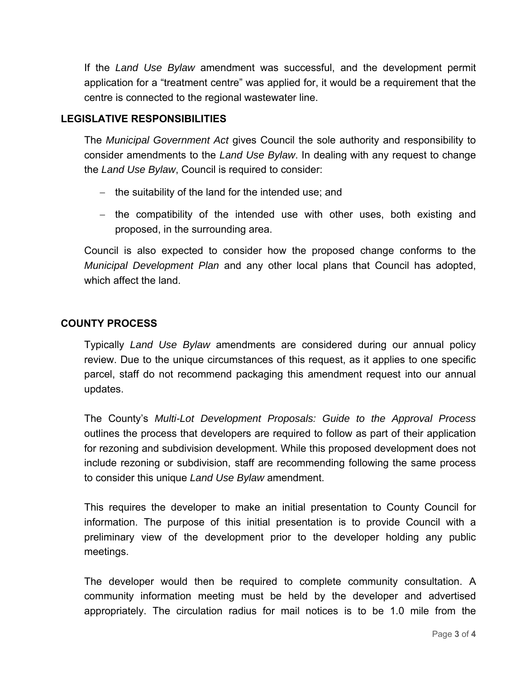If the *Land Use Bylaw* amendment was successful, and the development permit application for a "treatment centre" was applied for, it would be a requirement that the centre is connected to the regional wastewater line.

### **LEGISLATIVE RESPONSIBILITIES**

The *Municipal Government Act* gives Council the sole authority and responsibility to consider amendments to the *Land Use Bylaw*. In dealing with any request to change the *Land Use Bylaw*, Council is required to consider:

- $-$  the suitability of the land for the intended use; and
- the compatibility of the intended use with other uses, both existing and proposed, in the surrounding area.

Council is also expected to consider how the proposed change conforms to the *Municipal Development Plan* and any other local plans that Council has adopted, which affect the land.

#### **COUNTY PROCESS**

Typically *Land Use Bylaw* amendments are considered during our annual policy review. Due to the unique circumstances of this request, as it applies to one specific parcel, staff do not recommend packaging this amendment request into our annual updates.

The County's *Multi-Lot Development Proposals: Guide to the Approval Process* outlines the process that developers are required to follow as part of their application for rezoning and subdivision development. While this proposed development does not include rezoning or subdivision, staff are recommending following the same process to consider this unique *Land Use Bylaw* amendment.

This requires the developer to make an initial presentation to County Council for information. The purpose of this initial presentation is to provide Council with a preliminary view of the development prior to the developer holding any public meetings.

The developer would then be required to complete community consultation. A community information meeting must be held by the developer and advertised appropriately. The circulation radius for mail notices is to be 1.0 mile from the